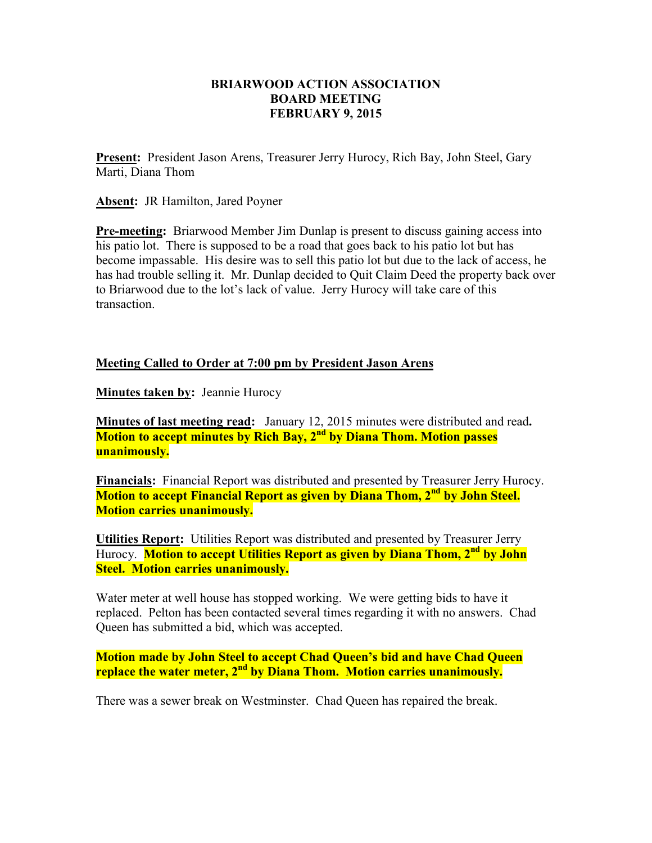## **BRIARWOOD ACTION ASSOCIATION BOARD MEETING FEBRUARY 9, 2015**

**Present:** President Jason Arens, Treasurer Jerry Hurocy, Rich Bay, John Steel, Gary Marti, Diana Thom

**Absent:** JR Hamilton, Jared Poyner

**Pre-meeting:** Briarwood Member Jim Dunlap is present to discuss gaining access into his patio lot. There is supposed to be a road that goes back to his patio lot but has become impassable. His desire was to sell this patio lot but due to the lack of access, he has had trouble selling it. Mr. Dunlap decided to Quit Claim Deed the property back over to Briarwood due to the lot's lack of value. Jerry Hurocy will take care of this transaction.

## **Meeting Called to Order at 7:00 pm by President Jason Arens**

**Minutes taken by: Jeannie Hurocy** 

**Minutes of last meeting read:** January 12, 2015 minutes were distributed and read**. Motion to accept minutes by Rich Bay, 2nd by Diana Thom. Motion passes unanimously.** 

**Financials:** Financial Report was distributed and presented by Treasurer Jerry Hurocy. **Motion to accept Financial Report as given by Diana Thom, 2nd by John Steel. Motion carries unanimously.** 

**Utilities Report:** Utilities Report was distributed and presented by Treasurer Jerry Hurocy. **Motion to accept Utilities Report as given by Diana Thom, 2nd by John Steel. Motion carries unanimously.** 

Water meter at well house has stopped working. We were getting bids to have it replaced. Pelton has been contacted several times regarding it with no answers. Chad Queen has submitted a bid, which was accepted.

**Motion made by John Steel to accept Chad Queen's bid and have Chad Queen replace the water meter, 2nd by Diana Thom. Motion carries unanimously.** 

There was a sewer break on Westminster. Chad Queen has repaired the break.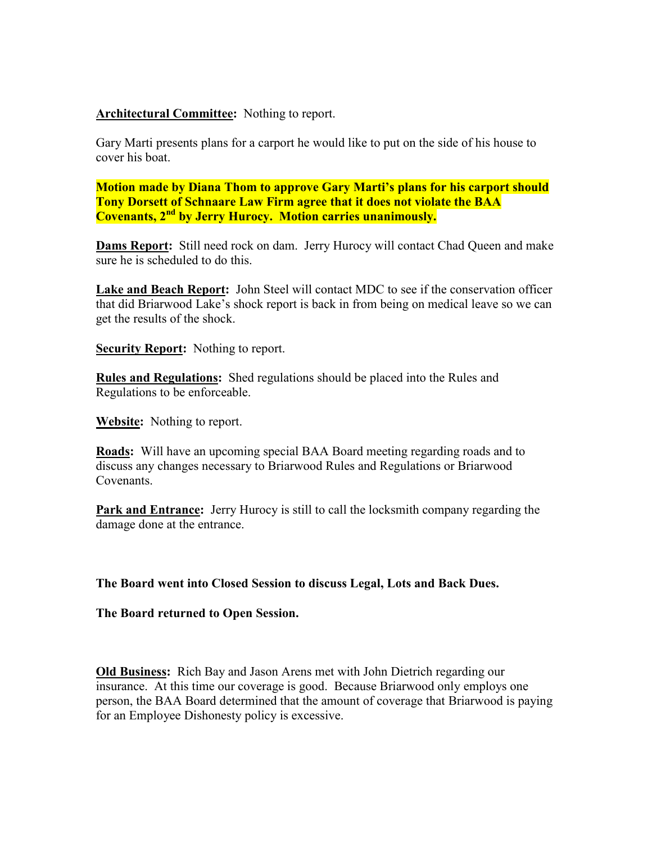## **Architectural Committee:** Nothing to report.

Gary Marti presents plans for a carport he would like to put on the side of his house to cover his boat.

**Motion made by Diana Thom to approve Gary Marti's plans for his carport should Tony Dorsett of Schnaare Law Firm agree that it does not violate the BAA Covenants, 2nd by Jerry Hurocy. Motion carries unanimously.** 

**Dams Report:** Still need rock on dam. Jerry Hurocy will contact Chad Queen and make sure he is scheduled to do this.

**Lake and Beach Report:** John Steel will contact MDC to see if the conservation officer that did Briarwood Lake's shock report is back in from being on medical leave so we can get the results of the shock.

**Security Report:** Nothing to report.

**Rules and Regulations:** Shed regulations should be placed into the Rules and Regulations to be enforceable.

**Website:** Nothing to report.

**Roads:** Will have an upcoming special BAA Board meeting regarding roads and to discuss any changes necessary to Briarwood Rules and Regulations or Briarwood Covenants.

**Park and Entrance:** Jerry Hurocy is still to call the locksmith company regarding the damage done at the entrance.

**The Board went into Closed Session to discuss Legal, Lots and Back Dues.** 

**The Board returned to Open Session.** 

**Old Business:** Rich Bay and Jason Arens met with John Dietrich regarding our insurance. At this time our coverage is good. Because Briarwood only employs one person, the BAA Board determined that the amount of coverage that Briarwood is paying for an Employee Dishonesty policy is excessive.